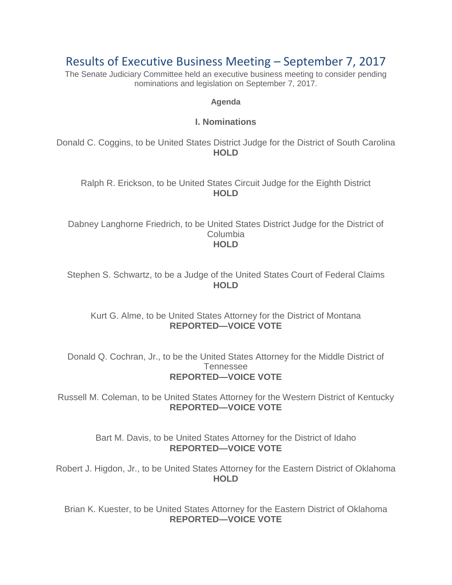## Results of Executive Business Meeting – September 7, 2017

The Senate Judiciary Committee held an executive business meeting to consider pending nominations and legislation on September 7, 2017.

## **Agenda**

## **I. Nominations**

Donald C. Coggins, to be United States District Judge for the District of South Carolina **HOLD**

Ralph R. Erickson, to be United States Circuit Judge for the Eighth District **HOLD**

Dabney Langhorne Friedrich, to be United States District Judge for the District of Columbia **HOLD**

Stephen S. Schwartz, to be a Judge of the United States Court of Federal Claims **HOLD**

Kurt G. Alme, to be United States Attorney for the District of Montana **REPORTED—VOICE VOTE**

Donald Q. Cochran, Jr., to be the United States Attorney for the Middle District of Tennessee **REPORTED—VOICE VOTE**

Russell M. Coleman, to be United States Attorney for the Western District of Kentucky **REPORTED—VOICE VOTE**

> Bart M. Davis, to be United States Attorney for the District of Idaho **REPORTED—VOICE VOTE**

Robert J. Higdon, Jr., to be United States Attorney for the Eastern District of Oklahoma **HOLD**

Brian K. Kuester, to be United States Attorney for the Eastern District of Oklahoma **REPORTED—VOICE VOTE**